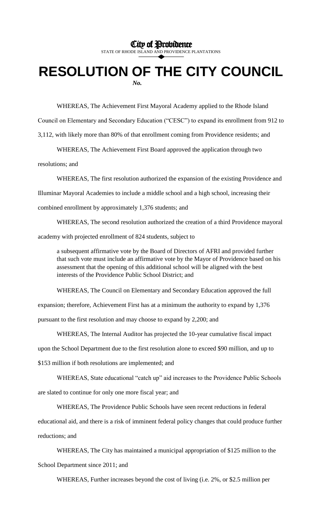City of Providence

STATE OF RHODE ISLAND AND PROVIDENCE PLANTATIONS

## **RESOLUTION OF THE CITY COUNCIL**

*No.*

WHEREAS, The Achievement First Mayoral Academy applied to the Rhode Island

Council on Elementary and Secondary Education ("CESC") to expand its enrollment from 912 to

3,112, with likely more than 80% of that enrollment coming from Providence residents; and

WHEREAS, The Achievement First Board approved the application through two

resolutions; and

WHEREAS, The first resolution authorized the expansion of the existing Providence and Illuminar Mayoral Academies to include a middle school and a high school, increasing their combined enrollment by approximately 1,376 students; and

WHEREAS, The second resolution authorized the creation of a third Providence mayoral academy with projected enrollment of 824 students, subject to

a subsequent affirmative vote by the Board of Directors of AFRI and provided further that such vote must include an affirmative vote by the Mayor of Providence based on his assessment that the opening of this additional school will be aligned with the best interests of the Providence Public School District; and

WHEREAS, The Council on Elementary and Secondary Education approved the full expansion; therefore, Achievement First has at a minimum the authority to expand by 1,376 pursuant to the first resolution and may choose to expand by 2,200; and

WHEREAS, The Internal Auditor has projected the 10-year cumulative fiscal impact upon the School Department due to the first resolution alone to exceed \$90 million, and up to

\$153 million if both resolutions are implemented; and

WHEREAS, State educational "catch up" aid increases to the Providence Public Schools

are slated to continue for only one more fiscal year; and

WHEREAS, The Providence Public Schools have seen recent reductions in federal

educational aid, and there is a risk of imminent federal policy changes that could produce further reductions; and

WHEREAS, The City has maintained a municipal appropriation of \$125 million to the

School Department since 2011; and

WHEREAS, Further increases beyond the cost of living (i.e. 2%, or \$2.5 million per